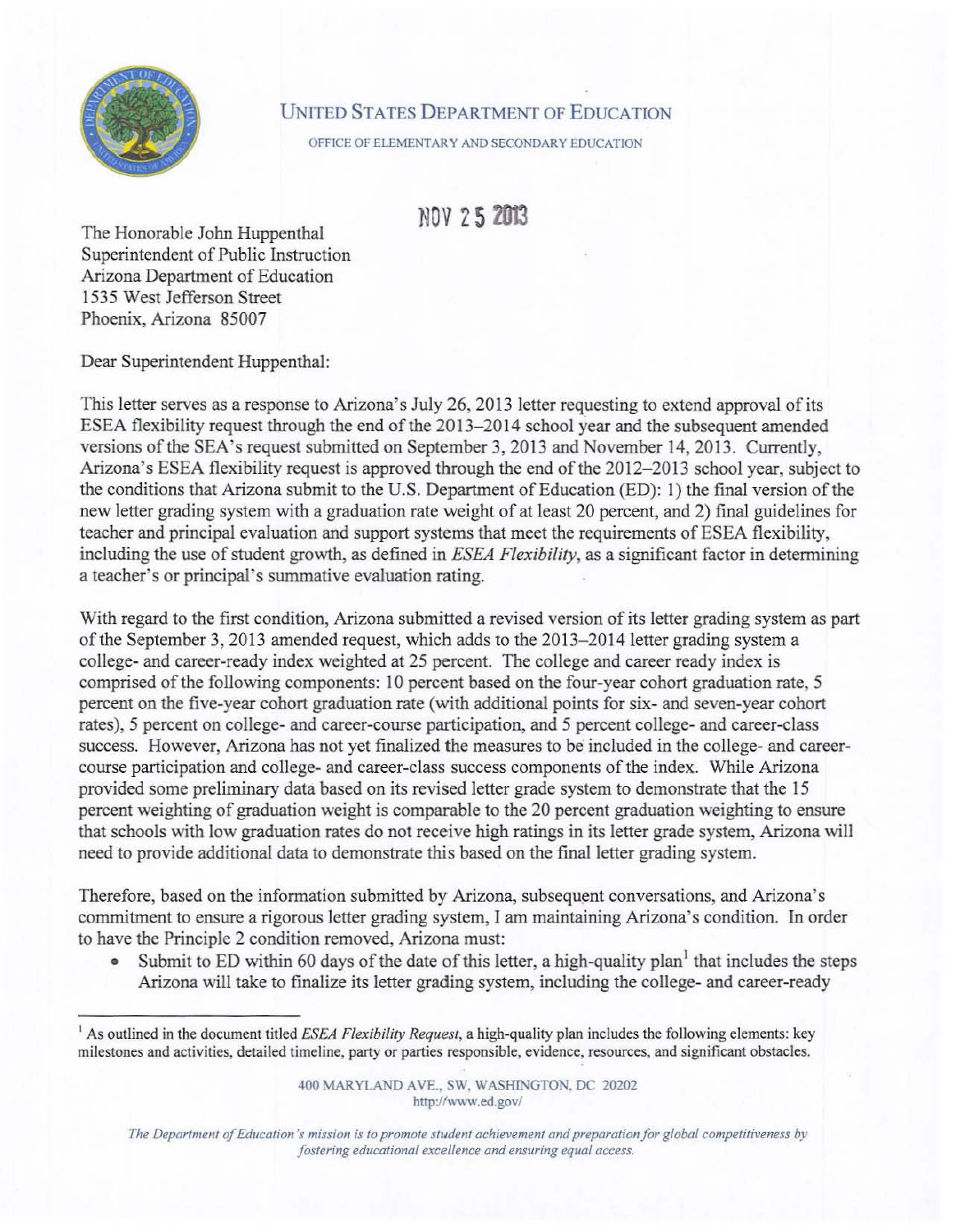

## UNITED STATES DEPARTMENT OF EDUCATION

OFFICE OF ELEMENTARY AND SECONDARY EDUCATION

Non 5 2Ol3

The Honorable John Huppenthal Superintendent of Public Instruction Arizona Department of Education 1535 West Jefferson Street Phoenix, Arizona 85007

Dear Superintendent Huppenthal:

This letter serves as a response to Arizona's July 26, 2013 letter requesting to extend approval of its ESEA flexibility request through the end of the 2013- 2014 school year and the subsequent amended versions of the SEA's request submitted on September 3, 2013 and November 14, 2013. Currently. Arizona's ESEA flexibility request is approved through the end of the 2012-2013 school year, subject to the conditions that Arizona submit to the U.S. Department of Education (ED): I) the final version of the new letter grading system with a graduation rate weight of at least 20 percent, and 2) final guidelines for teacher and principal evaluation and support systems that meet the requirements of ESEA flexibility, including the use of student growth, as defined in *ESEA Flexibility,* as a significant factor in determining a teacher's or principal's summative evaluation rating.

With regard to the first condition, Arizona submitted a revised version of its letter grading system as part of the September 3, 2013 amended request, which adds to the 20I3- 2014 1etter grading system a college- and career-ready index weighted at 25 percent. The college and career ready index is comprised of the following components: 10 percent based on the four-year cohort graduation rate, 5 percent on the five-year cohort graduation rate (with additional points for six- and seven-year cohort rates), 5 percent on college- and career-course participation, and 5 percent college- and career-class success. However, Arizona has not yet finalized the measures to be included in the college- and careercourse participation and college- and career-class success components of the index. While Arizona provided some preliminary data based on its revised letter grade system to demonstrate that the 15 percent weighting of graduation weight is comparable to the 20 percent graduation weighting to ensure that schools with low graduation rates do not receive high ratings in its letter grade system, Arizona will need to provide additional data to demonstrate this based on the final letter grading system.

Therefore, based on the information submitted by Arizona, subsequent conversations, and Arizona's commitment to ensure a rigorous letter grading system, I am maintaining Arizona's condition. In order to have the Principle 2 condition removed, Arizona must:

• Submit to ED within 60 days of the date of this letter, a high-quality plan<sup>1</sup> that includes the steps Arizona will take to finalize its letter grading system, including the college- and career-ready

400 MARYLAND AVE., SW, WASHINGTON, DC 20202 http://www.ed.gov/

*The Department of Education's mission is to promote student achievement and preparation for global competitiveness by fostering educational excellence and ensuring equal access.* 

<sup>1</sup> As outlined in the document titled *£SEA Flexibility Request,* a high-quality plan includes the following elements: key milestones and activilies, detailed timeline, party or parties responsible, evidence, resources, and significant obstacles.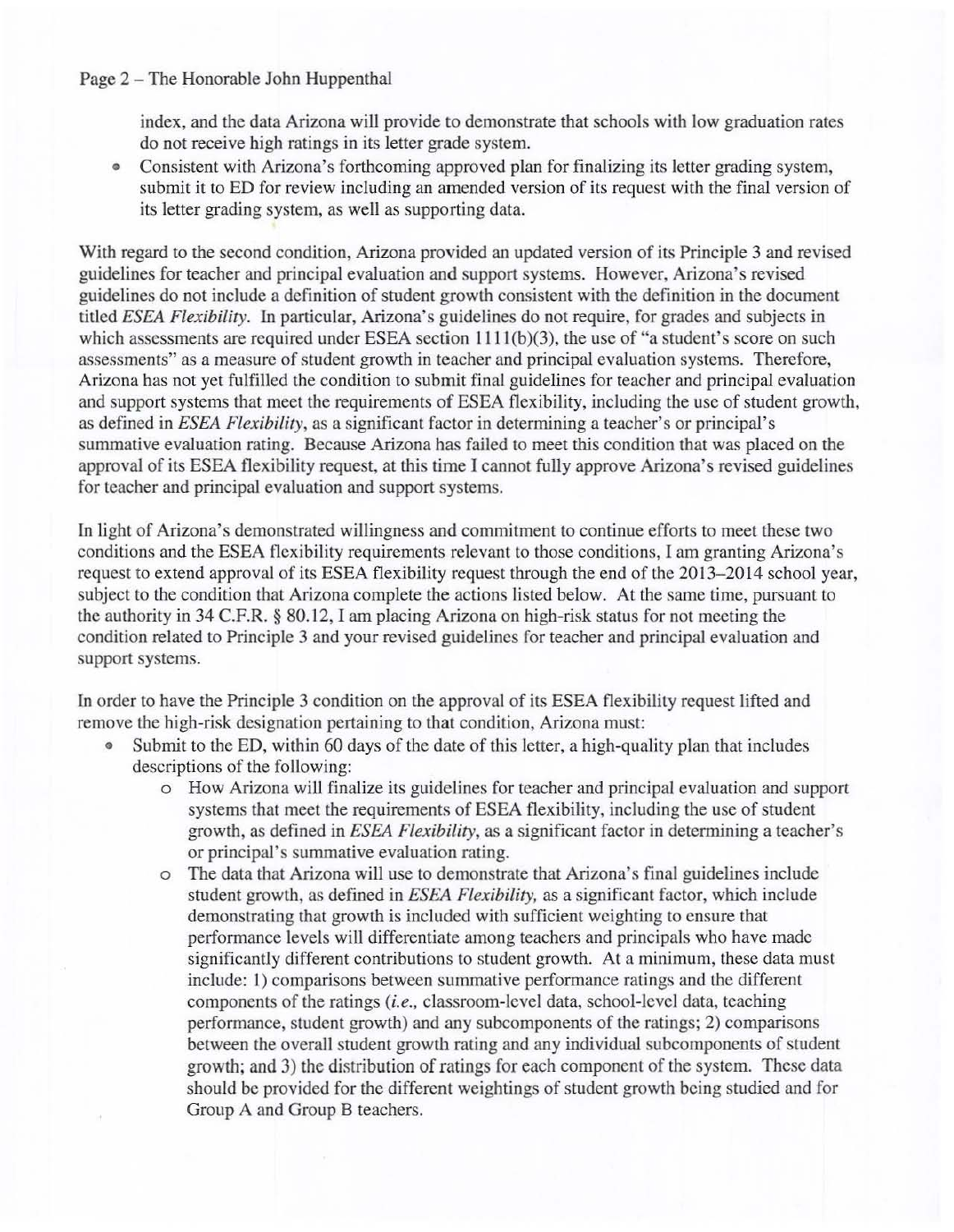## Page 2 - The Honorable John Huppenthal

index, and the data Arizona will provide to demonstrate that schools with low graduation rates do not receive high ratings in its letter grade system.

• Consistent with Arizona's forthcoming approved plan for finalizing its letter grading system, submit it to ED for review including an amended version of its request with the final version of its letter grading system, as well as supporting data.

With regard to the second condition, Arizona provided an updated version of its Principle 3 and revised guidelines for teacher and principal evaluation and support systems. However, Arizona's revised guidelines do not include a definition of student growth consistent with the definition in the document titled *ESEA Flexibility.* In particular, Arizona's guidelines do not require, for grades and subjects in which assessments are required under ESEA section 1111(b)(3), the use of "a student's score on such assessments" as a measure of student growth in teacher and principal evaluation systems. Therefore, Arizona has not yet fulfilled the condition to submit final guidelines for teacher and principal evaluation and support systems that meet the requirements of ESEA flexibility, including the use of student growth, as defined in *ESEA Flexibility,* as a significant factor in determining a teacher's or principal's summative evaluation rating. Because Arizona has failed to meet this condition that was placed on the approval of its ESEA flexibility request, at this time I cannot fully approve Arizona's revised guidelines for teacher and principal evaluation and support systems.

In light of Arizona's demonstrated willingness and commitment to continue efforts to meet these two conditions and the ESEA flexibility requirements relevant to those conditions, 1 am granting Arizona's request to extend approval of its ESEA flexibility request through the end of the 2013-2014 school year, subject to the condition that Arizona complete the actions listed below. At the same time, pursuant to the authority in 34 C.F.R. § 80. 12, I am placing Arizona on high-risk status for not meeting the condition related to Principle 3 and your revised guidelines for teacher and principal evaluation and support systems.

In order to have the Principle 3 condition on the approval of its ESEA flexibility request lifted and remove the high-risk designation pertaining to that condition, Arizona must:

- Submit to the ED, within 60 days of the date of this letter, a high-quality plan that includes descriptions of the following:
	- o How Arizona will finalize its guidelines for teacher and principal evaluation and support systems that meet the requirements of ESEA flexibility, including the use of student growth, as defined in *ESEA Flexibility,* as a significant factor in determining a teacher's or principal's summative evaluation rating.
	- The data that Arizona will use to demonstrate that Arizona's final guidelines include student growth, as defined in *ESEA Flexibility,* as a significant factor, which include demonstrating that growth is included with sufficient weighting to ensure that perfonnance levels will differentiate among teachers and principals who have made significantly different contributions to student growth. At a minimum, these data must include: I) comparisons between summative performance ratings and the different components of the ratings (i.e., classroom-level data, school-level data, teaching performance, student growth) and any subcomponents of the ratings; 2) comparisons between the overall student growth rating and any individual subcomponents of student growth; and 3) the distribution of ratings for each component of the system. These data should be provided for the different weightings of student growth being studied and for Group A and Group B teachers.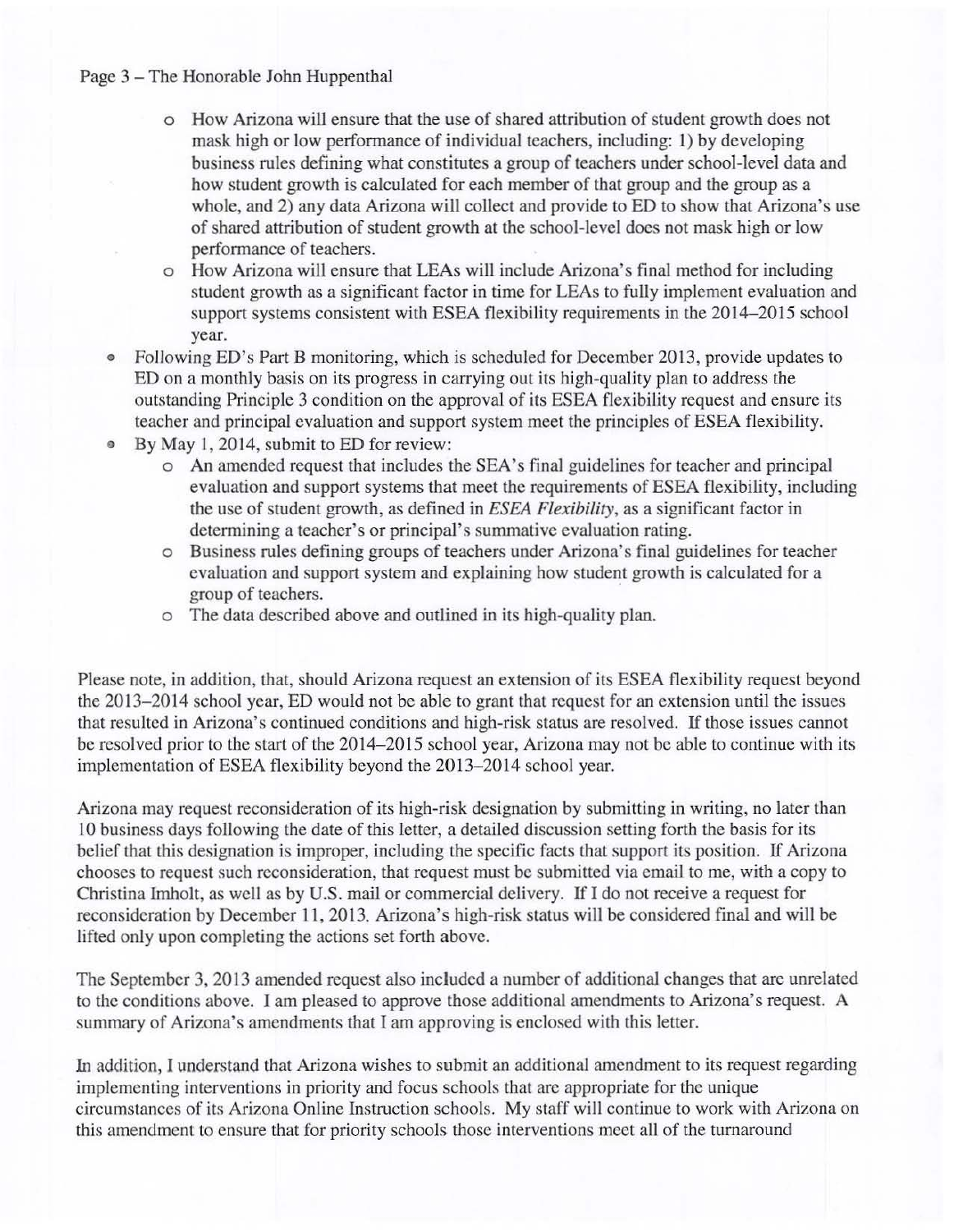## Page 3 - The Honorable John Huppenthal

- o How Arizona will ensure that the use of shared attribution of student growth does not mask high or low performance of individual teachers, including: 1) by developing business rules defining what constitutes a group of teachers under school-level data and how student growth is calculated for each member of that group and the group as a whole, and 2) any data Arizona will collect and provide to ED to show that Arizona's use of shared attribution of student growth at the school-level does not mask high or low performance of teachers.
- o How Arizona will ensure that LEAs will include Arizona's final method for including student growth as a significant factor in time for LEAs to fully implement evaluation and support systems consistent with ESEA flexibility requirements in the 2014-2015 school year.
- Following ED's Part B monitoring, which is scheduled for December 2013, provide updates to ED on a monthly basis on its progress in carrying out its high-quality plan to address the outstanding Principle 3 condition on the approval of its ESEA flexibility request and ensure its teacher and principal evaluation and support system meet the principles of ESEA flexibility.
- By May 1, 2014, submit to ED for review:
	- o An amended request that includes the SEA's final guidelines for teacher and principal evaluation and support systems that meet the requirements of ESEA flexibility, including the use of student growth, as defined in *ESEA Flexibility,* as a significant factor in determining a teacher's or principal's summative evaluation rating.
	- o Business rules defining groups of teachers under Arizona's final guidelines for teacher evaluation and support system and explaining how student growth is calculated for a group of teachers.
	- o The data described above and outlined in its high-quality plan.

Please note, in addition, that, should Arizona request an extension of its ESEA flexibility request beyond the 2013-2014 school year, ED would not be able to grant that request for an extension until the issues that resulted in Arizona's continued conditions and high-risk status are resolved. If those issues cannot be resolved prior to the start of the 2014-2015 school year, Arizona may not be able to continue with its implementation of ESEA flexibility beyond the 2013-2014 school year.

Arizona may request reconsideration of its high-risk designation by submitting in writing, no later than 10 business days following the date of this letter, a detailed discussion setting forth the basis for its belief that this designation is improper, including the specific facts that support its position. If Arizona chooses to request such reconsideration, that request must be submitted via email to me, with a copy to Christina Imholt, as well as by U.S. mail or commercial delivery. If I do not receive a request for reconsideration by December **11,2013.** Arizona's high-risk status will be considered final and will be lifted only upon completing the actions sct forth above.

The September 3, 2013 amended request also included a number of additional changes that are unrelated to the conditions above. I am pleased to approve those additional amendments to Arizona's request. A summary of Arizona's amcndments that I am approving is enclosed with this letter.

In addition, I understand that Arizona wishes to submit an additional amendment to its request regarding implementing interventions in priority and focus schools that arc appropriate for the unique circumstances of its Arizona Online Instruction schools. My staff will continue to work with Arizona on this amendment to ensure that for priority schools those interventions meet all of the turnaround